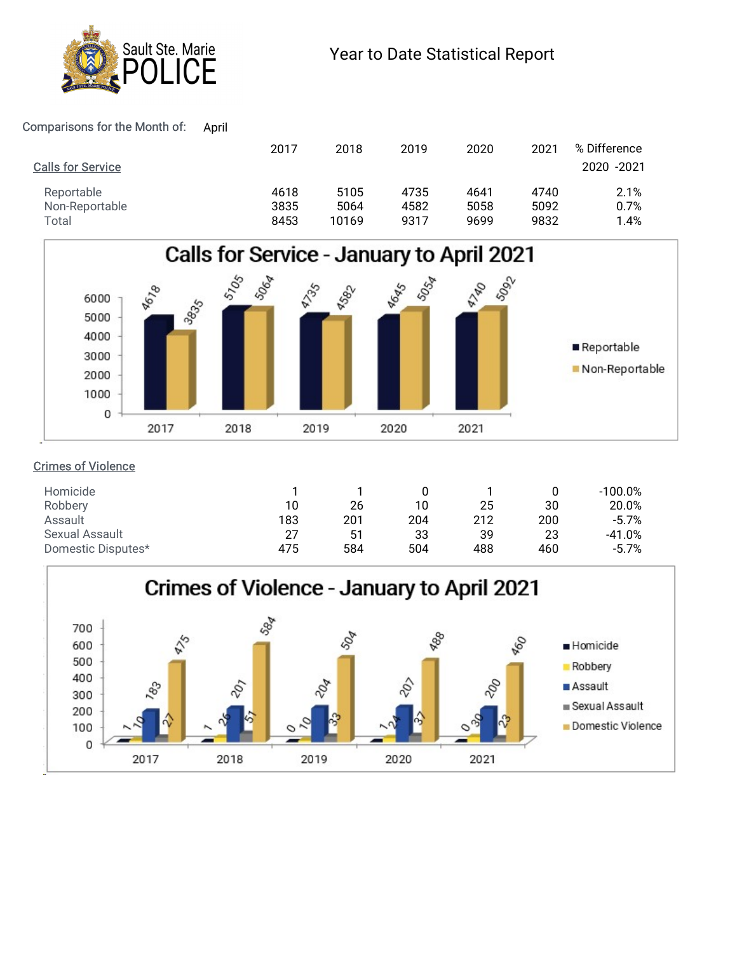

| Sault Ste. Marie<br><b>ICE</b>                           |              |               | Year to Date Statistical Report |              |              |                             |  |  |
|----------------------------------------------------------|--------------|---------------|---------------------------------|--------------|--------------|-----------------------------|--|--|
|                                                          |              |               |                                 |              |              |                             |  |  |
|                                                          |              |               |                                 |              |              |                             |  |  |
| April                                                    |              |               |                                 |              | 2021         |                             |  |  |
| omparisons for the Month of:<br><b>Calls for Service</b> | 2017         | 2018          | 2019                            | 2020         |              | % Difference<br>2020 - 2021 |  |  |
| Reportable                                               | 4618         | 5105          | 4735                            | 4641         | 4740         | 2.1%                        |  |  |
| Non-Reportable<br>Total                                  | 3835<br>8453 | 5064<br>10169 | 4582<br>9317                    | 5058<br>9699 | 5092<br>9832 | 0.7%<br>1.4%                |  |  |



## Crimes of Violence

| Homicide              |                 |     |     |     |     | 100.0%   |
|-----------------------|-----------------|-----|-----|-----|-----|----------|
| Robbery               | 10 <sup>°</sup> | 26  | 10  | 25  | 30  | 20.0%    |
| Assault               | 183             | 201 | 204 | 212 | 200 | $-5.7%$  |
| <b>Sexual Assault</b> | 27              | 51  | 33  | 39  | 23  | $-41.0%$ |
| Domestic Disputes*    | 475             | 584 | 504 | 488 | 460 | $-5.7%$  |
|                       |                 |     |     |     |     |          |